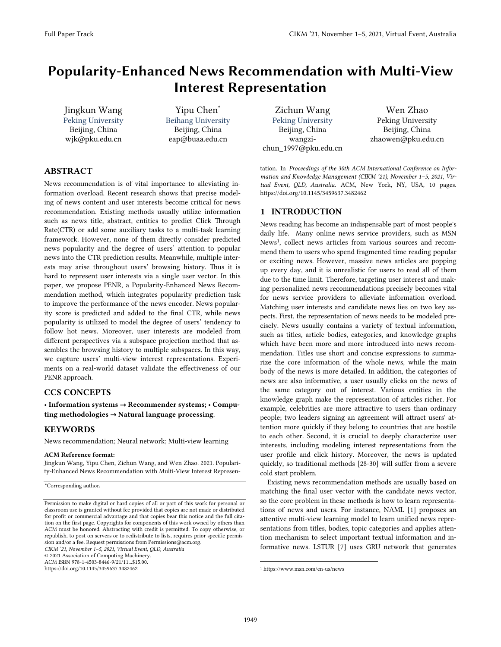# Popularity-Enhanced News Recommendation with Multi-View Interest Representation

Jingkun Wang Peking University Beijing, China wjk@pku.edu.cn

Yipu Chen<sup>\*</sup> Beihang University Beijing, China eap@buaa.edu.cn

Zichun Wang Peking University Beijing, China wangzichun\_1997@pku.edu.cn

Wen Zhao Peking University Beijing, China zhaowen@pku.edu.cn

tation. In *Proceedings of the 30th ACM International Conference on Information and Knowledge Management (CIKM '21), November 1–5, 2021, Virtual Event, QLD, Australia*. ACM, New York, NY, USA, 10 pages. https://doi.org/10.1145/3459637.3482462

### 1 INTRODUCTION

News reading has become an indispensable part of most people's daily life. Many online news service providers, such as MSN News1, collect news articles from various sources and recommend them to users who spend fragmented time reading popular or exciting news. However, massive news articles are popping up every day, and it is unrealistic for users to read all of them due to the time limit. Therefore, targeting user interest and making personalized news recommendations precisely becomes vital for news service providers to alleviate information overload. Matching user interests and candidate news lies on two key aspects. First, the representation of news needs to be modeled precisely. News usually contains a variety of textual information, such as titles, article bodies, categories, and knowledge graphs which have been more and more introduced into news recommendation. Titles use short and concise expressions to summarize the core information of the whole news, while the main body of the news is more detailed. In addition, the categories of news are also informative, a user usually clicks on the news of the same category out of interest. Various entities in the knowledge graph make the representation of articles richer. For example, celebrities are more attractive to users than ordinary people; two leaders signing an agreement will attract users' attention more quickly if they belong to countries that are hostile to each other. Second, it is crucial to deeply characterize user interests, including modeling interest representations from the user profile and click history. Moreover, the news is updated quickly, so traditional methods [28-30] will suffer from a severe cold start problem.

Existing news recommendation methods are usually based on matching the final user vector with the candidate news vector, so the core problem in these methods is how to learn representations of news and users. For instance, NAML [1] proposes an attentive multi-view learning model to learn unified news representations from titles, bodies, topic categories and applies attention mechanism to select important textual information and informative news. LSTUR [7] uses GRU network that generates

ABSTRACT

News recommendation is of vital importance to alleviating information overload. Recent research shows that precise modeling of news content and user interests become critical for news recommendation. Existing methods usually utilize information such as news title, abstract, entities to predict Click Through Rate(CTR) or add some auxiliary tasks to a multi-task learning framework. However, none of them directly consider predicted news popularity and the degree of users' attention to popular news into the CTR prediction results. Meanwhile, multiple interests may arise throughout users' browsing history. Thus it is hard to represent user interests via a single user vector. In this paper, we propose PENR, a Popularity-Enhanced News Recommendation method, which integrates popularity prediction task to improve the performance of the news encoder. News popularity score is predicted and added to the final CTR, while news popularity is utilized to model the degree of users' tendency to follow hot news. Moreover, user interests are modeled from different perspectives via a subspace projection method that assembles the browsing history to multiple subspaces. In this way, we capture users' multi-view interest representations. Experiments on a real-world dataset validate the effectiveness of our PENR approach.

#### CCS CONCEPTS

• Information systems → Recommender systems; • Computing methodologies → Natural language processing.

#### KEYWORDS

News recommendation; Neural network; Multi-view learning

#### ACM Reference format:

Jingkun Wang, Yipu Chen, Zichun Wang, and Wen Zhao. 2021. Popularity-Enhanced News Recommendation with Multi-View Interest Represen-

\*Corresponding author.

https://doi.org/10.1145/3459637.3482462

1

<sup>1</sup> https://www.msn.com/en-us/news

Permission to make digital or hard copies of all or part of this work for personal or classroom use is granted without fee provided that copies are not made or distributed for profit or commercial advantage and that copies bear this notice and the full citation on the first page. Copyrights for components of this work owned by others than ACM must be honored. Abstracting with credit is permitted. To copy otherwise, or republish, to post on servers or to redistribute to lists, requires prior specific permission and/or a fee. Request permissions from Permissions@acm.org. *CIKM '21, November 1–5, 2021, Virtual Event, QLD, Australia*  © 2021 Association of Computing Machinery. ACM ISBN 978-1-4503-8446-9/21/11...\$15.00.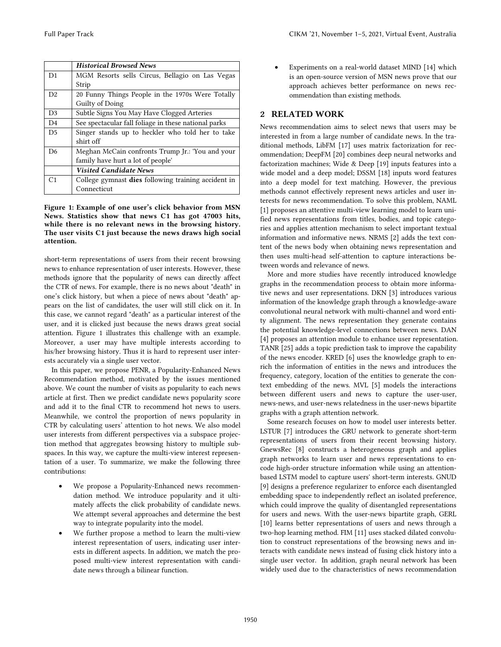|                | <b>Historical Browsed News</b>                       |
|----------------|------------------------------------------------------|
| D1             | MGM Resorts sells Circus, Bellagio on Las Vegas      |
|                | Strip                                                |
| D2             | 20 Funny Things People in the 1970s Were Totally     |
|                | Guilty of Doing                                      |
| D <sub>3</sub> | Subtle Signs You May Have Clogged Arteries           |
| D <sub>4</sub> | See spectacular fall foliage in these national parks |
| D <sub>5</sub> | Singer stands up to heckler who told her to take     |
|                | shirt off                                            |
| D <sub>6</sub> | Meghan McCain confronts Trump Jr.: 'You and your     |
|                | family have hurt a lot of people'                    |
|                | <b>Visited Candidate News</b>                        |
| C <sub>1</sub> | College gymnast dies following training accident in  |
|                | Connecticut                                          |

#### Figure 1: Example of one user's click behavior from MSN News. Statistics show that news C1 has got 47003 hits, while there is no relevant news in the browsing history. The user visits C1 just because the news draws high social attention.

short-term representations of users from their recent browsing news to enhance representation of user interests. However, these methods ignore that the popularity of news can directly affect the CTR of news. For example, there is no news about "death" in one's click history, but when a piece of news about "death" appears on the list of candidates, the user will still click on it. In this case, we cannot regard "death" as a particular interest of the user, and it is clicked just because the news draws great social attention. Figure 1 illustrates this challenge with an example. Moreover, a user may have multiple interests according to his/her browsing history. Thus it is hard to represent user interests accurately via a single user vector.

In this paper, we propose PENR, a Popularity-Enhanced News Recommendation method, motivated by the issues mentioned above. We count the number of visits as popularity to each news article at first. Then we predict candidate news popularity score and add it to the final CTR to recommend hot news to users. Meanwhile, we control the proportion of news popularity in CTR by calculating users' attention to hot news. We also model user interests from different perspectives via a subspace projection method that aggregates browsing history to multiple subspaces. In this way, we capture the multi-view interest representation of a user. To summarize, we make the following three contributions:

- We propose a Popularity-Enhanced news recommendation method. We introduce popularity and it ultimately affects the click probability of candidate news. We attempt several approaches and determine the best way to integrate popularity into the model.
- We further propose a method to learn the multi-view interest representation of users, indicating user interests in different aspects. In addition, we match the proposed multi-view interest representation with candidate news through a bilinear function.

 Experiments on a real-world dataset MIND [14] which is an open-source version of MSN news prove that our approach achieves better performance on news recommendation than existing methods.

# 2 RELATED WORK

News recommendation aims to select news that users may be interested in from a large number of candidate news. In the traditional methods, LibFM [17] uses matrix factorization for recommendation; DeepFM [20] combines deep neural networks and factorization machines; Wide & Deep [19] inputs features into a wide model and a deep model; DSSM [18] inputs word features into a deep model for text matching. However, the previous methods cannot effectively represent news articles and user interests for news recommendation. To solve this problem, NAML [1] proposes an attentive multi-view learning model to learn unified news representations from titles, bodies, and topic categories and applies attention mechanism to select important textual information and informative news. NRMS [2] adds the text content of the news body when obtaining news representation and then uses multi-head self-attention to capture interactions between words and relevance of news.

More and more studies have recently introduced knowledge graphs in the recommendation process to obtain more informative news and user representations. DKN [3] introduces various information of the knowledge graph through a knowledge-aware convolutional neural network with multi-channel and word entity alignment. The news representation they generate contains the potential knowledge-level connections between news. DAN [4] proposes an attention module to enhance user representation. TANR [25] adds a topic prediction task to improve the capability of the news encoder. KRED [6] uses the knowledge graph to enrich the information of entities in the news and introduces the frequency, category, location of the entities to generate the context embedding of the news. MVL [5] models the interactions between different users and news to capture the user-user, news-news, and user-news relatedness in the user-news bipartite graphs with a graph attention network.

Some research focuses on how to model user interests better. LSTUR [7] introduces the GRU network to generate short-term representations of users from their recent browsing history. GnewsRec [8] constructs a heterogeneous graph and applies graph networks to learn user and news representations to encode high-order structure information while using an attentionbased LSTM model to capture users' short-term interests. GNUD [9] designs a preference regularizer to enforce each disentangled embedding space to independently reflect an isolated preference, which could improve the quality of disentangled representations for users and news. With the user-news bipartite graph, GERL [10] learns better representations of users and news through a two-hop learning method. FIM [11] uses stacked dilated convolution to construct representations of the browsing news and interacts with candidate news instead of fusing click history into a single user vector. In addition, graph neural network has been widely used due to the characteristics of news recommendation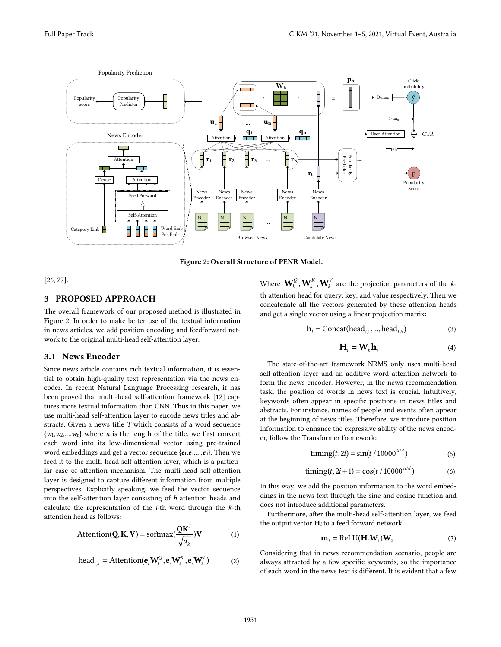

Figure 2: Overall Structure of PENR Model.

[26, 27].

# 3 PROPOSED APPROACH

The overall framework of our proposed method is illustrated in Figure 2. In order to make better use of the textual information in news articles, we add position encoding and feedforward network to the original multi-head self-attention layer.

## 3.1 News Encoder

Since news article contains rich textual information, it is essential to obtain high-quality text representation via the news encoder. In recent Natural Language Processing research, it has been proved that multi-head self-attention framework [12] captures more textual information than CNN. Thus in this paper, we use multi-head self-attention layer to encode news titles and abstracts. Given a news title *T* which consists of a word sequence {*w*1,*w*2,…,*w*n} where *n* is the length of the title, we first convert each word into its low-dimensional vector using pre-trained word embeddings and get a vector sequence {*e*1,*e*2,…,*e*n}. Then we feed it to the multi-head self-attention layer, which is a particular case of attention mechanism. The multi-head self-attention layer is designed to capture different information from multiple perspectives. Explicitly speaking, we feed the vector sequence into the self-attention layer consisting of *h* attention heads and calculate the representation of the *i*-th word through the *k*-th attention head as follows:

$$
Attention(Q, \mathbf{K}, \mathbf{V}) = softmax(\frac{Q\mathbf{K}^{T}}{\sqrt{d_{k}}})\mathbf{V}
$$
 (1)

head<sub>i,k</sub> = Attention(
$$
\mathbf{e}_i \mathbf{W}_k^Q
$$
,  $\mathbf{e}_i \mathbf{W}_k^K$ ,  $\mathbf{e}_i \mathbf{W}_k^V$ ) (2)

Where  $\mathbf{W}_k^Q$ ,  $\mathbf{W}_k^K$ ,  $\mathbf{W}_k^V$  are the projection parameters of the *k*th attention head for query, key, and value respectively. Then we concatenate all the vectors generated by these attention heads and get a single vector using a linear projection matrix:

$$
\mathbf{h}_{i} = \text{Concat}(\text{head}_{i,1}, ..., \text{head}_{i,h})
$$
\n(3)

$$
\mathbf{H}_{i} = \mathbf{W}_{p} \mathbf{h}_{i} \tag{4}
$$

The state-of-the-art framework NRMS only uses multi-head self-attention layer and an additive word attention network to form the news encoder. However, in the news recommendation task, the position of words in news text is crucial. Intuitively, keywords often appear in specific positions in news titles and abstracts. For instance, names of people and events often appear at the beginning of news titles. Therefore, we introduce position information to enhance the expressive ability of the news encoder, follow the Transformer framework:

$$
t = \sin(t / 10000^{2i/d})
$$
 (5)

$$
t = \frac{t}{10000} \text{t} \cdot 2i + 1 = \cos(t / 10000^{2i/d}) \tag{6}
$$

In this way, we add the position information to the word embeddings in the news text through the sine and cosine function and does not introduce additional parameters.

Furthermore, after the multi-head self-attention layer, we feed the output vector  $H_i$  to a feed forward network:

$$
\mathbf{m}_{i} = \text{ReLU}(\mathbf{H}_{i}\mathbf{W}_{1})\mathbf{W}_{2} \tag{7}
$$

Considering that in news recommendation scenario, people are always attracted by a few specific keywords, so the importance of each word in the news text is different. It is evident that a few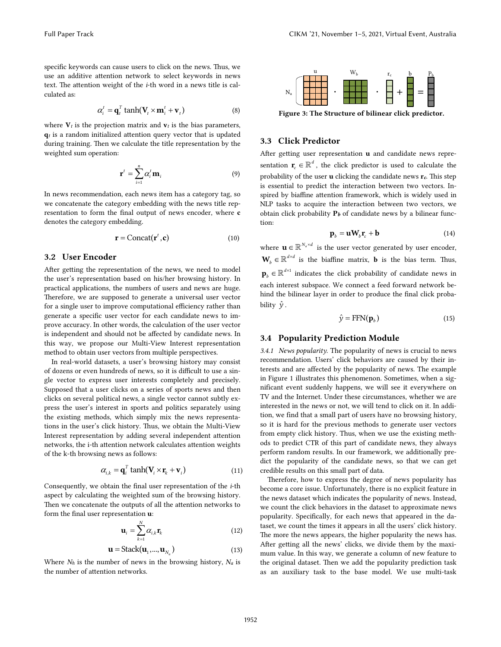specific keywords can cause users to click on the news. Thus, we use an additive attention network to select keywords in news text. The attention weight of the *i*-th word in a news title is calculated as:

$$
\alpha_i^t = \mathbf{q}_i^T \tanh(\mathbf{V}_t \times \mathbf{m}_i^t + \mathbf{v}_t) \tag{8}
$$

where  $V_t$  is the projection matrix and  $v_t$  is the bias parameters, q*t* is a random initialized attention query vector that is updated during training. Then we calculate the title representation by the weighted sum operation:

$$
\mathbf{r}^{t} = \sum_{i=1}^{n} \alpha_{i}^{t} \mathbf{m}_{i} \tag{9}
$$

In news recommendation, each news item has a category tag, so we concatenate the category embedding with the news title representation to form the final output of news encoder, where c denotes the category embedding.

$$
\mathbf{r} = \text{Concat}(\mathbf{r}^t, \mathbf{c}) \tag{10}
$$

#### 3.2 User Encoder

After getting the representation of the news, we need to model the user's representation based on his/her browsing history. In practical applications, the numbers of users and news are huge. Therefore, we are supposed to generate a universal user vector for a single user to improve computational efficiency rather than generate a specific user vector for each candidate news to improve accuracy. In other words, the calculation of the user vector is independent and should not be affected by candidate news. In this way, we propose our Multi-View Interest representation method to obtain user vectors from multiple perspectives.

In real-world datasets, a user's browsing history may consist of dozens or even hundreds of news, so it is difficult to use a single vector to express user interests completely and precisely. Supposed that a user clicks on a series of sports news and then clicks on several political news, a single vector cannot subtly express the user's interest in sports and politics separately using the existing methods, which simply mix the news representations in the user's click history. Thus, we obtain the Multi-View Interest representation by adding several independent attention networks, the i-th attention network calculates attention weights of the k-th browsing news as follows:

$$
\alpha_{i,k} = \mathbf{q}_i^T \tanh(\mathbf{V}_i \times \mathbf{r}_k + \mathbf{v}_i)
$$
 (11)

Consequently, we obtain the final user representation of the *i*-th aspect by calculating the weighted sum of the browsing history. Then we concatenate the outputs of all the attention networks to form the final user representation u:

$$
\mathbf{u}_{i} = \sum_{k=1}^{N} \alpha_{i,k} \mathbf{r}_{k} \tag{12}
$$

$$
\mathbf{u} = \text{Stack}(\mathbf{u}_1, ..., \mathbf{u}_{N_a})
$$
(13)

Where *Nh* is the number of news in the browsing history, *Na* is the number of attention networks.



Figure 3: The Structure of bilinear click predictor.

## 3.3 Click Predictor

After getting user representation **u** and candidate news representation  $\mathbf{r}_{c} \in \mathbb{R}^{d}$ , the click predictor is used to calculate the probability of the user u clicking the candidate news r*c*. This step is essential to predict the interaction between two vectors. Inspired by biaffine attention framework, which is widely used in NLP tasks to acquire the interaction between two vectors, we obtain click probability  $P_b$  of candidate news by a bilinear function:

$$
\mathbf{p}_b = \mathbf{u}\mathbf{W}_b \mathbf{r}_c + \mathbf{b} \tag{14}
$$

where  $\mathbf{u} \in \mathbb{R}^{N_a \times d}$  is the user vector generated by user encoder,  $\mathbf{W}_{b} \in \mathbb{R}^{d \times d}$  is the biaffine matrix, **b** is the bias term. Thus,  $\mathbf{p}_{b} \in \mathbb{R}^{d \times 1}$  indicates the click probability of candidate news in each interest subspace. We connect a feed forward network behind the bilinear layer in order to produce the final click probability  $\hat{\mathbf{y}}$ .

$$
\hat{\mathbf{y}} = \text{FFN}(\mathbf{p}_b)
$$
\n(15)

#### 3.4 Popularity Prediction Module

*3.4.1 News popularity*. The popularity of news is crucial to news recommendation. Users' click behaviors are caused by their interests and are affected by the popularity of news. The example in Figure 1 illustrates this phenomenon. Sometimes, when a significant event suddenly happens, we will see it everywhere on TV and the Internet. Under these circumstances, whether we are interested in the news or not, we will tend to click on it. In addition, we find that a small part of users have no browsing history, so it is hard for the previous methods to generate user vectors from empty click history. Thus, when we use the existing methods to predict CTR of this part of candidate news, they always perform random results. In our framework, we additionally predict the popularity of the candidate news, so that we can get credible results on this small part of data.

Therefore, how to express the degree of news popularity has become a core issue. Unfortunately, there is no explicit feature in the news dataset which indicates the popularity of news. Instead, we count the click behaviors in the dataset to approximate news popularity. Specifically, for each news that appeared in the dataset, we count the times it appears in all the users' click history. The more the news appears, the higher popularity the news has. After getting all the news' clicks, we divide them by the maximum value. In this way, we generate a column of new feature to the original dataset. Then we add the popularity prediction task as an auxiliary task to the base model. We use multi-task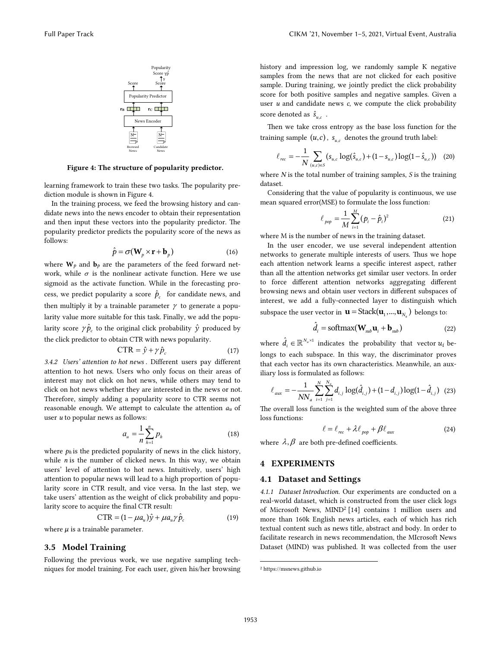

Figure 4: The structure of popularity predictor.

learning framework to train these two tasks. The popularity prediction module is shown in Figure 4.

In the training process, we feed the browsing history and candidate news into the news encoder to obtain their representation and then input these vectors into the popularity predictor. The popularity predictor predicts the popularity score of the news as follows:

$$
\hat{p} = \sigma(\mathbf{W}_p \times \mathbf{r} + \mathbf{b}_p)
$$
\n(16)

where  $W_p$  and  $b_p$  are the parameters of the feed forward network, while  $\sigma$  is the nonlinear activate function. Here we use sigmoid as the activate function. While in the forecasting process, we predict popularity a score  $\hat{p}_c$  for candidate news, and then multiply it by a trainable parameter  $\gamma$  to generate a popularity value more suitable for this task. Finally, we add the popularity score  $\gamma \hat{p}_c$  to the original click probability  $\hat{y}$  produced by the click predictor to obtain CTR with news popularity.

$$
CTR = \hat{y} + \gamma \hat{p}_c \tag{17}
$$

*3.4.2 Users' attention to hot news* . Different users pay different attention to hot news. Users who only focus on their areas of interest may not click on hot news, while others may tend to click on hot news whether they are interested in the news or not. Therefore, simply adding a popularity score to CTR seems not reasonable enough. We attempt to calculate the attention *au* of user *u* to popular news as follows:

$$
a_u = \frac{1}{n} \sum_{h=1}^n p_h
$$
 (18)

where  $p_h$  is the predicted popularity of news in the click history, while *n* is the number of clicked news. In this way, we obtain users' level of attention to hot news. Intuitively, users' high attention to popular news will lead to a high proportion of popularity score in CTR result, and vice versa. In the last step, we take users' attention as the weight of click probability and popularity score to acquire the final CTR result:

$$
CTR = (1 - \mu a_u) \hat{y} + \mu a_u \gamma \hat{p}_c
$$
 (19)

where  $\mu$  is a trainable parameter.

#### 3.5 Model Training

Following the previous work, we use negative sampling techniques for model training. For each user, given his/her browsing history and impression log, we randomly sample K negative samples from the news that are not clicked for each positive sample. During training, we jointly predict the click probability score for both positive samples and negative samples. Given a user *u* and candidate news *c*, we compute the click probability score denoted as  $\hat{S}_{u,c}$ .

Then we take cross entropy as the base loss function for the training sample  $(u, c)$ ,  $s_{u, c}$  denotes the ground truth label:

$$
\ell_{rec} = -\frac{1}{N} \sum_{(u,c)\in S} (s_{u,c} \log(\hat{s}_{u,c}) + (1 - s_{u,c}) \log(1 - \hat{s}_{u,c})) \quad (20)
$$

where *N* is the total number of training samples, *S* is the training dataset.

Considering that the value of popularity is continuous, we use mean squared error(MSE) to formulate the loss function:

$$
\ell_{pop} = \frac{1}{M} \sum_{i=1}^{M} (p_i - \hat{p}_i)^2
$$
 (21)

where M is the number of news in the training dataset.

In the user encoder, we use several independent attention networks to generate multiple interests of users. Thus we hope each attention network learns a specific interest aspect, rather than all the attention networks get similar user vectors. In order to force different attention networks aggregating different browsing news and obtain user vectors in different subspaces of interest, we add a fully-connected layer to distinguish which subspace the user vector in  $\mathbf{u} = \text{Stack}(\mathbf{u}_1, ..., \mathbf{u}_N)$  belongs to:

$$
\hat{d}_i = \text{softmax}(\mathbf{W}_{sub}\mathbf{u}_i + \mathbf{b}_{sub})
$$
 (22)

where  $\hat{d}_i \in \mathbb{R}^{N_a \times 1}$  indicates the probability that vector  $u_i$  belongs to each subspace. In this way, the discriminator proves that each vector has its own characteristics. Meanwhile, an auxiliary loss is formulated as follows:

$$
\ell_{aux} = -\frac{1}{N N_a} \sum_{i=1}^{N} \sum_{j=1}^{N_a} d_{i,j} \log(\hat{d}_{i,j}) + (1 - d_{i,j}) \log(1 - \hat{d}_{i,j}) \quad (23)
$$

The overall loss function is the weighted sum of the above three loss functions:

$$
\ell = \ell_{rec} + \lambda \ell_{pop} + \beta \ell_{aux}
$$
 (24)

where  $\lambda$ ,  $\beta$  are both pre-defined coefficients.

#### 4 EXPERIMENTS

#### 4.1 Dataset and Settings

*4.1.1 Dataset Introduction.* Our experiments are conducted on a real-world dataset, which is constructed from the user click logs of Microsoft News, MIND2 [14] contains 1 million users and more than 160k English news articles, each of which has rich textual content such as news title, abstract and body. In order to facilitate research in news recommendation, the MIcrosoft News Dataset (MIND) was published. It was collected from the user

 $\overline{a}$ 

<sup>2</sup> https://msnews.github.io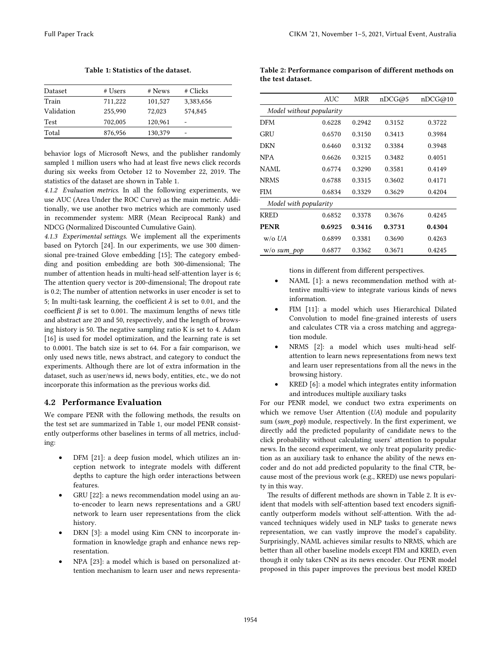| Dataset    | # Users | # News  | # Clicks  |
|------------|---------|---------|-----------|
| Train      | 711,222 | 101,527 | 3,383,656 |
| Validation | 255,990 | 72,023  | 574,845   |
| Test       | 702,005 | 120,961 | -         |
| Total      | 876,956 | 130,379 | -         |

Table 1: Statistics of the dataset.

behavior logs of Microsoft News, and the publisher randomly sampled 1 million users who had at least five news click records during six weeks from October 12 to November 22, 2019. The statistics of the dataset are shown in Table 1.

*4.1.2 Evaluation metrics*. In all the following experiments, we use AUC (Area Under the ROC Curve) as the main metric. Additionally, we use another two metrics which are commonly used in recommender system: MRR (Mean Reciprocal Rank) and NDCG (Normalized Discounted Cumulative Gain).

*4.1.3 Experimental settings*. We implement all the experiments based on Pytorch [24]. In our experiments, we use 300 dimensional pre-trained Glove embedding [15]; The category embedding and position embedding are both 300-dimensional; The number of attention heads in multi-head self-attention layer is 6; The attention query vector is 200-dimensional; The dropout rate is 0.2; The number of attention networks in user encoder is set to 5; In multi-task learning, the coefficient  $\lambda$  is set to 0.01, and the coefficient  $\beta$  is set to 0.001. The maximum lengths of news title and abstract are 20 and 50, respectively, and the length of browsing history is 50. The negative sampling ratio K is set to 4. Adam [16] is used for model optimization, and the learning rate is set to 0.0001. The batch size is set to 64. For a fair comparison, we only used news title, news abstract, and category to conduct the experiments. Although there are lot of extra information in the dataset, such as user/news id, news body, entities, etc., we do not incorporate this information as the previous works did.

# 4.2 Performance Evaluation

We compare PENR with the following methods, the results on the test set are summarized in Table 1, our model PENR consistently outperforms other baselines in terms of all metrics, including:

- DFM [21]: a deep fusion model, which utilizes an inception network to integrate models with different depths to capture the high order interactions between features.
- GRU [22]: a news recommendation model using an auto-encoder to learn news representations and a GRU network to learn user representations from the click history.
- DKN [3]: a model using Kim CNN to incorporate information in knowledge graph and enhance news representation.
- NPA [23]: a model which is based on personalized attention mechanism to learn user and news representa-

Table 2: Performance comparison of different methods on the test dataset.

|                          | AUC    | MRR    | nDCG@5 | nDCG@10 |
|--------------------------|--------|--------|--------|---------|
| Model without popularity |        |        |        |         |
| <b>DFM</b>               | 0.6228 | 0.2942 | 0.3152 | 0.3722  |
| GRU                      | 0.6570 | 0.3150 | 0.3413 | 0.3984  |
| DKN                      | 0.6460 | 0.3132 | 0.3384 | 0.3948  |
| <b>NPA</b>               | 0.6626 | 0.3215 | 0.3482 | 0.4051  |
| NAML                     | 0.6774 | 0.3290 | 0.3581 | 0.4149  |
| <b>NRMS</b>              | 0.6788 | 0.3315 | 0.3602 | 0.4171  |
| <b>FIM</b>               | 0.6834 | 0.3329 | 0.3629 | 0.4204  |
| Model with popularity    |        |        |        |         |
| <b>KRED</b>              | 0.6852 | 0.3378 | 0.3676 | 0.4245  |
| <b>PENR</b>              | 0.6925 | 0.3416 | 0.3731 | 0.4304  |
| $w$ /o UA                | 0.6899 | 0.3381 | 0.3690 | 0.4263  |
| $w/o$ sum_pop            | 0.6877 | 0.3362 | 0.3671 | 0.4245  |

tions in different from different perspectives.

- NAML [1]: a news recommendation method with attentive multi-view to integrate various kinds of news information.
- FIM [11]: a model which uses Hierarchical Dilated Convolution to model fine-grained interests of users and calculates CTR via a cross matching and aggregation module.
- NRMS [2]: a model which uses multi-head selfattention to learn news representations from news text and learn user representations from all the news in the browsing history.
- KRED [6]: a model which integrates entity information and introduces multiple auxiliary tasks

For our PENR model, we conduct two extra experiments on which we remove User Attention (*UA*) module and popularity sum (*sum\_pop*) module, respectively. In the first experiment, we directly add the predicted popularity of candidate news to the click probability without calculating users' attention to popular news. In the second experiment, we only treat popularity prediction as an auxiliary task to enhance the ability of the news encoder and do not add predicted popularity to the final CTR, because most of the previous work (e.g., KRED) use news popularity in this way.

The results of different methods are shown in Table 2. It is evident that models with self-attention based text encoders significantly outperform models without self-attention. With the advanced techniques widely used in NLP tasks to generate news representation, we can vastly improve the model's capability. Surprisingly, NAML achieves similar results to NRMS, which are better than all other baseline models except FIM and KRED, even though it only takes CNN as its news encoder. Our PENR model proposed in this paper improves the previous best model KRED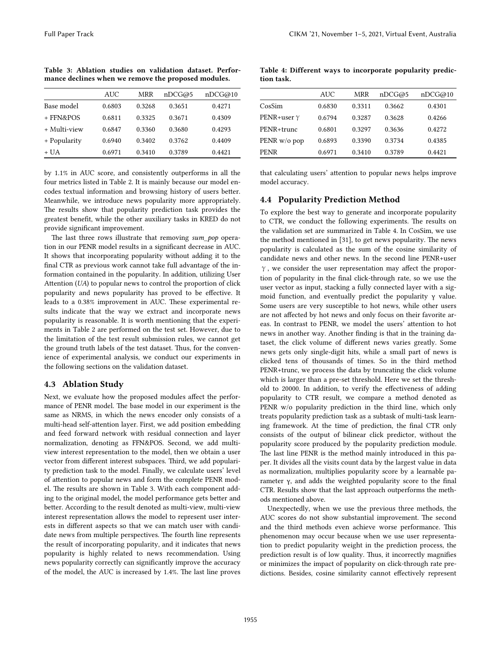Table 3: Ablation studies on validation dataset. Performance declines when we remove the proposed modules.

|              | AUC    | MRR    | nDCG@5 | nDCG@10 |
|--------------|--------|--------|--------|---------|
| Base model   | 0.6803 | 0.3268 | 0.3651 | 0.4271  |
| + FFN&POS    | 0.6811 | 0.3325 | 0.3671 | 0.4309  |
| + Multi-view | 0.6847 | 0.3360 | 0.3680 | 0.4293  |
| + Popularity | 0.6940 | 0.3402 | 0.3762 | 0.4409  |
| + UA         | 0.6971 | 0.3410 | 0.3789 | 0.4421  |
|              |        |        |        |         |

by 1.1% in AUC score, and consistently outperforms in all the four metrics listed in Table 2. It is mainly because our model encodes textual information and browsing history of users better. Meanwhile, we introduce news popularity more appropriately. The results show that popularity prediction task provides the greatest benefit, while the other auxiliary tasks in KRED do not provide significant improvement.

The last three rows illustrate that removing *sum\_pop* operation in our PENR model results in a significant decrease in AUC. It shows that incorporating popularity without adding it to the final CTR as previous work cannot take full advantage of the information contained in the popularity. In addition, utilizing User Attention (*UA*) to popular news to control the proportion of click popularity and news popularity has proved to be effective. It leads to a 0.38% improvement in AUC. These experimental results indicate that the way we extract and incorporate news popularity is reasonable. It is worth mentioning that the experiments in Table 2 are performed on the test set. However, due to the limitation of the test result submission rules, we cannot get the ground truth labels of the test dataset. Thus, for the convenience of experimental analysis, we conduct our experiments in the following sections on the validation dataset.

## 4.3 Ablation Study

Next, we evaluate how the proposed modules affect the performance of PENR model. The base model in our experiment is the same as NRMS, in which the news encoder only consists of a multi-head self-attention layer. First, we add position embedding and feed forward network with residual connection and layer normalization, denoting as FFN&POS. Second, we add multiview interest representation to the model, then we obtain a user vector from different interest subspaces. Third, we add popularity prediction task to the model. Finally, we calculate users' level of attention to popular news and form the complete PENR model. The results are shown in Table 3. With each component adding to the original model, the model performance gets better and better. According to the result denoted as multi-view, multi-view interest representation allows the model to represent user interests in different aspects so that we can match user with candidate news from multiple perspectives. The fourth line represents the result of incorporating popularity, and it indicates that news popularity is highly related to news recommendation. Using news popularity correctly can significantly improve the accuracy of the model, the AUC is increased by 1.4%. The last line proves

Table 4: Different ways to incorporate popularity prediction task.

|              | AUC    | MRR    | nDCG@5 | nDCG@10 |
|--------------|--------|--------|--------|---------|
| CosSim       | 0.6830 | 0.3311 | 0.3662 | 0.4301  |
| PENR+user γ  | 0.6794 | 0.3287 | 0.3628 | 0.4266  |
| PENR+trunc   | 0.6801 | 0.3297 | 0.3636 | 0.4272  |
| PENR w/o pop | 0.6893 | 0.3390 | 0.3734 | 0.4385  |
| PENR         | 0.6971 | 0.3410 | 0.3789 | 0.4421  |
|              |        |        |        |         |

that calculating users' attention to popular news helps improve model accuracy.

# 4.4 Popularity Prediction Method

To explore the best way to generate and incorporate popularity to CTR, we conduct the following experiments. The results on the validation set are summarized in Table 4. In CosSim, we use the method mentioned in [31], to get news popularity. The news popularity is calculated as the sum of the cosine similarity of candidate news and other news. In the second line PENR+user γ, we consider the user representation may affect the proportion of popularity in the final click-through rate, so we use the user vector as input, stacking a fully connected layer with a sigmoid function, and eventually predict the popularity γ value. Some users are very susceptible to hot news, while other users are not affected by hot news and only focus on their favorite areas. In contrast to PENR, we model the users' attention to hot news in another way. Another finding is that in the training dataset, the click volume of different news varies greatly. Some news gets only single-digit hits, while a small part of news is clicked tens of thousands of times. So in the third method PENR+trunc, we process the data by truncating the click volume which is larger than a pre-set threshold. Here we set the threshold to 20000. In addition, to verify the effectiveness of adding popularity to CTR result, we compare a method denoted as PENR w/o popularity prediction in the third line, which only treats popularity prediction task as a subtask of multi-task learning framework. At the time of prediction, the final CTR only consists of the output of bilinear click predictor, without the popularity score produced by the popularity prediction module. The last line PENR is the method mainly introduced in this paper. It divides all the visits count data by the largest value in data as normalization, multiplies popularity score by a learnable parameter γ, and adds the weighted popularity score to the final CTR. Results show that the last approach outperforms the methods mentioned above.

Unexpectedly, when we use the previous three methods, the AUC scores do not show substantial improvement. The second and the third methods even achieve worse performance. This phenomenon may occur because when we use user representation to predict popularity weight in the prediction process, the prediction result is of low quality. Thus, it incorrectly magnifies or minimizes the impact of popularity on click-through rate predictions. Besides, cosine similarity cannot effectively represent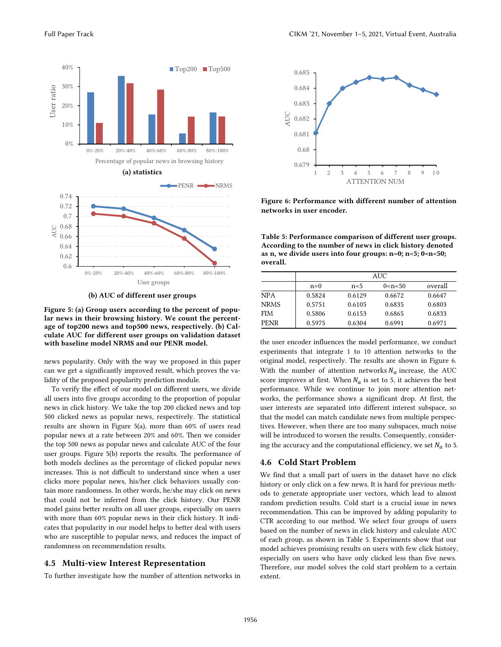

(b) AUC of different user groups

Figure 5: (a) Group users according to the percent of popular news in their browsing history. We count the percentage of top200 news and top500 news, respectively. (b) Calculate AUC for different user groups on validation dataset with baseline model NRMS and our PENR model.

news popularity. Only with the way we proposed in this paper can we get a significantly improved result, which proves the validity of the proposed popularity prediction module.

To verify the effect of our model on different users, we divide all users into five groups according to the proportion of popular news in click history. We take the top 200 clicked news and top 500 clicked news as popular news, respectively. The statistical results are shown in Figure 5(a), more than 60% of users read popular news at a rate between 20% and 60%. Then we consider the top 500 news as popular news and calculate AUC of the four user groups. Figure 5(b) reports the results. The performance of both models declines as the percentage of clicked popular news increases. This is not difficult to understand since when a user clicks more popular news, his/her click behaviors usually contain more randomness. In other words, he/she may click on news that could not be inferred from the click history. Our PENR model gains better results on all user groups, especially on users with more than 60% popular news in their click history. It indicates that popularity in our model helps to better deal with users who are susceptible to popular news, and reduces the impact of randomness on recommendation results.

#### 4.5 Multi-view Interest Representation

To further investigate how the number of attention networks in



Figure 6: Performance with different number of attention networks in user encoder.

Table 5: Performance comparison of different user groups. According to the number of news in click history denoted as n, we divide users into four groups:  $n=0$ ;  $n<5$ ;  $0<\infty$  = 50; overall.

|             | AUC    |                |            |         |  |
|-------------|--------|----------------|------------|---------|--|
|             | $n=0$  | n <sub>5</sub> | 0 < n < 50 | overall |  |
| <b>NPA</b>  | 0.5824 | 0.6129         | 0.6672     | 0.6647  |  |
| <b>NRMS</b> | 0.5751 | 0.6105         | 0.6835     | 0.6803  |  |
| FIM         | 0.5806 | 0.6153         | 0.6865     | 0.6833  |  |
| <b>PENR</b> | 0.5975 | 0.6304         | 0.6991     | 0.6971  |  |

the user encoder influences the model performance, we conduct experiments that integrate 1 to 10 attention networks to the original model, respectively. The results are shown in Figure 6. With the number of attention networks  $N_a$  increase, the AUC score improves at first. When  $N_a$  is set to 5, it achieves the best performance. While we continue to join more attention networks, the performance shows a significant drop. At first, the user interests are separated into different interest subspace, so that the model can match candidate news from multiple perspectives. However, when there are too many subspaces, much noise will be introduced to worsen the results. Consequently, considering the accuracy and the computational efficiency, we set  $N_a$  to 5.

#### 4.6 Cold Start Problem

We find that a small part of users in the dataset have no click history or only click on a few news. It is hard for previous methods to generate appropriate user vectors, which lead to almost random prediction results. Cold start is a crucial issue in news recommendation. This can be improved by adding popularity to CTR according to our method. We select four groups of users based on the number of news in click history and calculate AUC of each group, as shown in Table 5. Experiments show that our model achieves promising results on users with few click history, especially on users who have only clicked less than five news. Therefore, our model solves the cold start problem to a certain extent.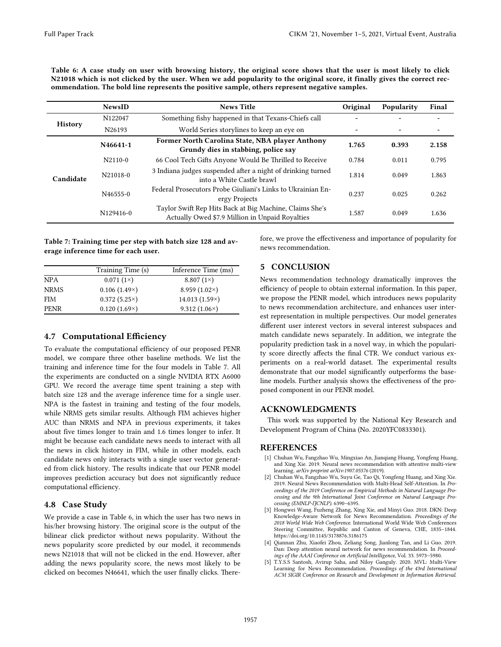Table 6: A case study on user with browsing history, the original score shows that the user is most likely to click N21018 which is not clicked by the user. When we add popularity to the original score, it finally gives the correct recommendation. The bold line represents the positive sample, others represent negative samples.

|                | <b>NewsID</b> | <b>News Title</b>                                                                                          | Original | Popularity               | Final |
|----------------|---------------|------------------------------------------------------------------------------------------------------------|----------|--------------------------|-------|
|                | N122047       | Something fishy happened in that Texans-Chiefs call                                                        |          |                          |       |
| <b>History</b> | N26193        | World Series storylines to keep an eye on                                                                  |          | $\overline{\phantom{a}}$ |       |
|                | N46641-1      | Former North Carolina State, NBA player Anthony<br>Grundy dies in stabbing, police say                     | 1.765    | 0.393                    | 2.158 |
|                | $N2110-0$     | 66 Cool Tech Gifts Anyone Would Be Thrilled to Receive                                                     | 0.784    | 0.011                    | 0.795 |
| Candidate      | N21018-0      | 3 Indiana judges suspended after a night of drinking turned<br>into a White Castle brawl                   | 1.814    | 0.049                    | 1.863 |
|                | N46555-0      | Federal Prosecutors Probe Giuliani's Links to Ukrainian En-<br>ergy Projects                               | 0.237    | 0.025                    | 0.262 |
|                | N129416-0     | Taylor Swift Rep Hits Back at Big Machine, Claims She's<br>Actually Owed \$7.9 Million in Unpaid Royalties | 1.587    | 0.049                    | 1.636 |

Table 7: Training time per step with batch size 128 and average inference time for each user.

|                      |  | fore, we prove the effectiveness and importance of popularity for |  |  |
|----------------------|--|-------------------------------------------------------------------|--|--|
| news recommendation. |  |                                                                   |  |  |

|             | Training Time (s)   | Inference Time (ms)  |
|-------------|---------------------|----------------------|
| <b>NPA</b>  | $0.071(1\times)$    | 8.807 $(1\times)$    |
| <b>NRMS</b> | $0.106(1.49\times)$ | 8.959 $(1.02\times)$ |
| <b>FIM</b>  | $0.372(5.25\times)$ | $14.013(1.59\times)$ |
| <b>PENR</b> | $0.120(1.69\times)$ | $9.312(1.06\times)$  |

## 4.7 Computational Efficiency

To evaluate the computational efficiency of our proposed PENR model, we compare three other baseline methods. We list the training and inference time for the four models in Table 7. All the experiments are conducted on a single NVIDIA RTX A6000 GPU. We record the average time spent training a step with batch size 128 and the average inference time for a single user. NPA is the fastest in training and testing of the four models, while NRMS gets similar results. Although FIM achieves higher AUC than NRMS and NPA in previous experiments, it takes about five times longer to train and 1.6 times longer to infer. It might be because each candidate news needs to interact with all the news in click history in FIM, while in other models, each candidate news only interacts with a single user vector generated from click history. The results indicate that our PENR model improves prediction accuracy but does not significantly reduce computational efficiency.

## 4.8 Case Study

We provide a case in Table 6, in which the user has two news in his/her browsing history. The original score is the output of the bilinear click predictor without news popularity. Without the news popularity score predicted by our model, it recommends news N21018 that will not be clicked in the end. However, after adding the news popularity score, the news most likely to be clicked on becomes N46641, which the user finally clicks. There-

#### 5 CONCLUSION

News recommendation technology dramatically improves the efficiency of people to obtain external information. In this paper, we propose the PENR model, which introduces news popularity to news recommendation architecture, and enhances user interest representation in multiple perspectives. Our model generates different user interest vectors in several interest subspaces and match candidate news separately. In addition, we integrate the popularity prediction task in a novel way, in which the popularity score directly affects the final CTR. We conduct various experiments on a real-world dataset. The experimental results demonstrate that our model significantly outperforms the baseline models. Further analysis shows the effectiveness of the proposed component in our PENR model.

#### ACKNOWLEDGMENTS

 This work was supported by the National Key Research and Development Program of China (No. 2020YFC0833301).

#### REFERENCES

- [1] Chuhan Wu, Fangzhao Wu, Mingxiao An, Jianqiang Huang, Yongfeng Huang, and Xing Xie. 2019. Neural news recommendation with attentive multi-view learning. *arXiv preprint arXiv:1907.05576* (2019).
- [2] Chuhan Wu, Fangzhao Wu, Suyu Ge, Tao Qi, Yongfeng Huang, and Xing Xie. 2019. Neural News Recommendation with Multi-Head Self-Attention. In *Proceedings of the 2019 Conference on Empirical Methods in Natural Language Processing and the 9th International Joint Conference on Natural Language Processing (EMNLP-IJCNLP)*. 6390–6395.
- [3] Hongwei Wang, Fuzheng Zhang, Xing Xie, and Minyi Guo. 2018. DKN: Deep Knowledge-Aware Network for News Recommendation. *Proceedings of the 2018 World Wide Web Conference*. International World Wide Web Conferences Steering Committee, Republic and Canton of Geneva, CHE, 1835–1844. https://doi.org/10.1145/3178876.3186175
- [4] Qiannan Zhu, Xiaofei Zhou, Zeliang Song, Jianlong Tan, and Li Guo. 2019. Dan: Deep attention neural network for news recommendation. In *Proceedings of the AAAI Conference on Artificial Intelligence*, Vol. 33. 5973–5980.
- [5] T.Y.S.S Santosh, Avirup Saha, and Niloy Ganguly. 2020. MVL: Multi-View Learning for News Recommendation. *Proceedings of the 43rd International ACM SIGIR Conference on Research and Development in Information Retrieval*.